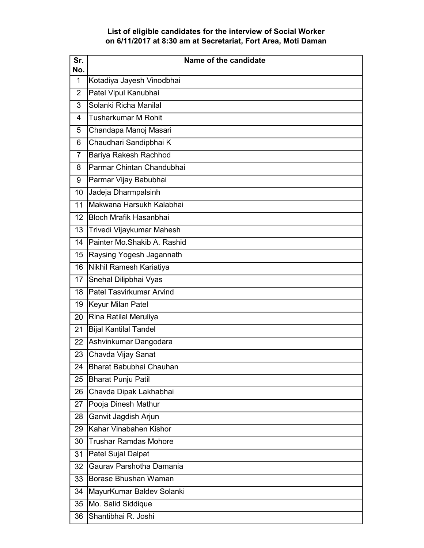#### List of eligible candidates for the interview of Social Worker on 6/11/2017 at 8:30 am at Secretariat, Fort Area, Moti Daman

| Sr.<br>No.     | Name of the candidate         |
|----------------|-------------------------------|
| $\mathbf 1$    | Kotadiya Jayesh Vinodbhai     |
| $\overline{2}$ | Patel Vipul Kanubhai          |
| 3              | Solanki Richa Manilal         |
| 4              | Tusharkumar M Rohit           |
| 5              | Chandapa Manoj Masari         |
| 6              | Chaudhari Sandipbhai K        |
| $\overline{7}$ | Bariya Rakesh Rachhod         |
| 8              | Parmar Chintan Chandubhai     |
| 9              | Parmar Vijay Babubhai         |
| 10             | Jadeja Dharmpalsinh           |
| 11             | Makwana Harsukh Kalabhai      |
| 12             | <b>Bloch Mrafik Hasanbhai</b> |
| 13             | Trivedi Vijaykumar Mahesh     |
| 14             | Painter Mo.Shakib A. Rashid   |
| 15             | Raysing Yogesh Jagannath      |
| 16             | Nikhil Ramesh Kariatiya       |
| 17             | Snehal Dilipbhai Vyas         |
| 18             | Patel Tasvirkumar Arvind      |
| 19             | Keyur Milan Patel             |
| 20             | Rina Ratilal Meruliya         |
| 21             | <b>Bijal Kantilal Tandel</b>  |
| 22             | Ashvinkumar Dangodara         |
| 23             | Chavda Vijay Sanat            |
| 24             | Bharat Babubhai Chauhan       |
| 25             | <b>Bharat Punju Patil</b>     |
| 26             | Chavda Dipak Lakhabhai        |
| 27             | Pooja Dinesh Mathur           |
| 28             | Ganvit Jagdish Arjun          |
| 29             | Kahar Vinabahen Kishor        |
| 30             | <b>Trushar Ramdas Mohore</b>  |
| 31             | Patel Sujal Dalpat            |
| 32             | Gauray Parshotha Damania      |
| 33             | Borase Bhushan Waman          |
| 34             | MayurKumar Baldev Solanki     |
| 35             | Mo. Salid Siddique            |
| 36             | Shantibhai R. Joshi           |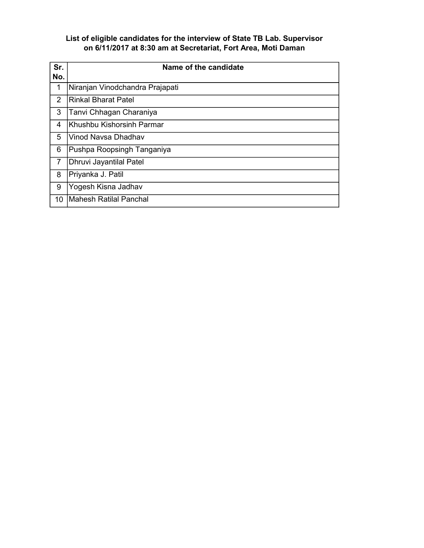## List of eligible candidates for the interview of State TB Lab. Supervisor on 6/11/2017 at 8:30 am at Secretariat, Fort Area, Moti Daman

| Sr.            | Name of the candidate           |
|----------------|---------------------------------|
| No.            |                                 |
| 1              | Niranjan Vinodchandra Prajapati |
| $\mathcal{P}$  | lRinkal Bharat Patel            |
| 3              | Tanvi Chhagan Charaniya         |
| 4              | Khushbu Kishorsinh Parmar       |
| 5              | Vinod Navsa Dhadhav             |
| 6              | Pushpa Roopsingh Tanganiya      |
| $\overline{7}$ | Dhruvi Jayantilal Patel         |
| 8              | Priyanka J. Patil               |
| 9              | Yogesh Kisna Jadhav             |
| 10             | Mahesh Ratilal Panchal          |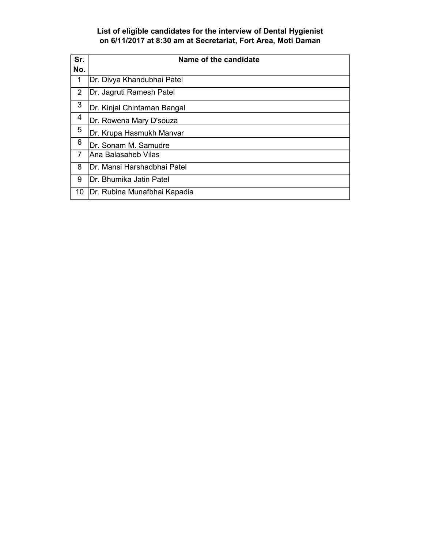### List of eligible candidates for the interview of Dental Hygienist on 6/11/2017 at 8:30 am at Secretariat, Fort Area, Moti Daman

| Sr.            | Name of the candidate        |
|----------------|------------------------------|
| No.            |                              |
| 1              | Dr. Divya Khandubhai Patel   |
| $\overline{2}$ | Dr. Jagruti Ramesh Patel     |
| 3              | Dr. Kinjal Chintaman Bangal  |
| 4              | Dr. Rowena Mary D'souza      |
| 5              | Dr. Krupa Hasmukh Manvar     |
| 6              | Dr. Sonam M. Samudre         |
| 7              | lAna Balasaheb Vilas         |
| 8              | IDr. Mansi Harshadbhai Patel |
| 9              | IDr. Bhumika Jatin Patel     |
| 10             | Dr. Rubina Munafbhai Kapadia |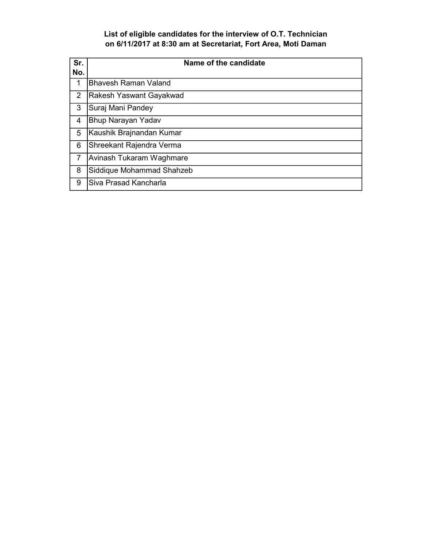## List of eligible candidates for the interview of O.T. Technician on 6/11/2017 at 8:30 am at Secretariat, Fort Area, Moti Daman

| Sr.            | Name of the candidate       |
|----------------|-----------------------------|
| No.            |                             |
| 1              | <b>Bhavesh Raman Valand</b> |
| 2              | Rakesh Yaswant Gayakwad     |
| 3              | Suraj Mani Pandey           |
| 4              | Bhup Narayan Yadav          |
| 5              | Kaushik Brajnandan Kumar    |
| 6              | Shreekant Rajendra Verma    |
| $\overline{7}$ | Avinash Tukaram Waghmare    |
| 8              | Siddique Mohammad Shahzeb   |
| 9              | Siva Prasad Kancharla       |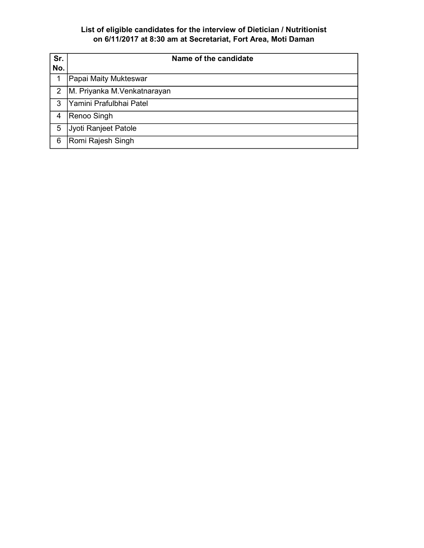# List of eligible candidates for the interview of Dietician / Nutritionist on 6/11/2017 at 8:30 am at Secretariat, Fort Area, Moti Daman

| Sr. | Name of the candidate        |
|-----|------------------------------|
| No. |                              |
| 1   | Papai Maity Mukteswar        |
| 2   | M. Priyanka M. Venkatnarayan |
| 3   | Yamini Prafulbhai Patel      |
| 4   | Renoo Singh                  |
| 5   | Jyoti Ranjeet Patole         |
| 6   | Romi Rajesh Singh            |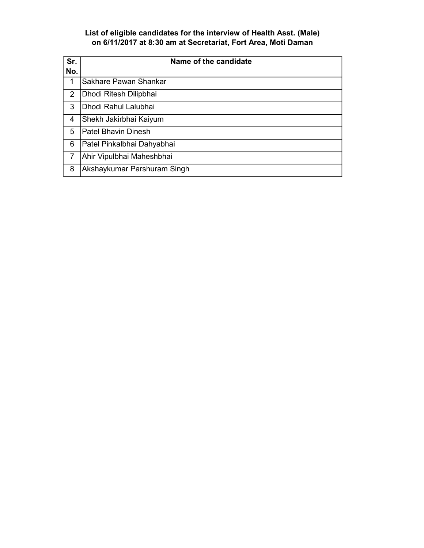## List of eligible candidates for the interview of Health Asst. (Male) on 6/11/2017 at 8:30 am at Secretariat, Fort Area, Moti Daman

| Sr.            | Name of the candidate       |
|----------------|-----------------------------|
| No.            |                             |
| 1              | Sakhare Pawan Shankar       |
| 2              | Dhodi Ritesh Dilipbhai      |
| 3              | Dhodi Rahul Lalubhai        |
| 4              | Shekh Jakirbhai Kaiyum      |
| 5              | Patel Bhavin Dinesh         |
| 6              | Patel Pinkalbhai Dahyabhai  |
| $\overline{7}$ | Ahir Vipulbhai Maheshbhai   |
| 8              | Akshaykumar Parshuram Singh |